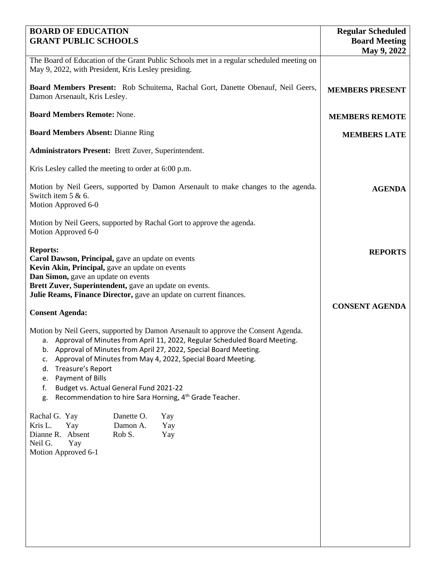| <b>BOARD OF EDUCATION</b><br><b>GRANT PUBLIC SCHOOLS</b>                                                                                                                                                                                                                                                                                                                                                                                                                                        | <b>Regular Scheduled</b><br><b>Board Meeting</b><br>May 9, 2022 |
|-------------------------------------------------------------------------------------------------------------------------------------------------------------------------------------------------------------------------------------------------------------------------------------------------------------------------------------------------------------------------------------------------------------------------------------------------------------------------------------------------|-----------------------------------------------------------------|
| The Board of Education of the Grant Public Schools met in a regular scheduled meeting on<br>May 9, 2022, with President, Kris Lesley presiding.                                                                                                                                                                                                                                                                                                                                                 |                                                                 |
| Board Members Present: Rob Schuitema, Rachal Gort, Danette Obenauf, Neil Geers,<br>Damon Arsenault, Kris Lesley.                                                                                                                                                                                                                                                                                                                                                                                | <b>MEMBERS PRESENT</b>                                          |
| <b>Board Members Remote: None.</b>                                                                                                                                                                                                                                                                                                                                                                                                                                                              | <b>MEMBERS REMOTE</b>                                           |
| <b>Board Members Absent: Dianne Ring</b>                                                                                                                                                                                                                                                                                                                                                                                                                                                        | <b>MEMBERS LATE</b>                                             |
| <b>Administrators Present:</b> Brett Zuver, Superintendent.                                                                                                                                                                                                                                                                                                                                                                                                                                     |                                                                 |
| Kris Lesley called the meeting to order at 6:00 p.m.                                                                                                                                                                                                                                                                                                                                                                                                                                            |                                                                 |
| Motion by Neil Geers, supported by Damon Arsenault to make changes to the agenda.<br>Switch item 5 & 6.<br>Motion Approved 6-0                                                                                                                                                                                                                                                                                                                                                                  | <b>AGENDA</b>                                                   |
| Motion by Neil Geers, supported by Rachal Gort to approve the agenda.<br>Motion Approved 6-0                                                                                                                                                                                                                                                                                                                                                                                                    |                                                                 |
| <b>Reports:</b><br>Carol Dawson, Principal, gave an update on events<br>Kevin Akin, Principal, gave an update on events<br>Dan Simon, gave an update on events<br>Brett Zuver, Superintendent, gave an update on events.<br>Julie Reams, Finance Director, gave an update on current finances.                                                                                                                                                                                                  | <b>REPORTS</b>                                                  |
| <b>Consent Agenda:</b>                                                                                                                                                                                                                                                                                                                                                                                                                                                                          | <b>CONSENT AGENDA</b>                                           |
| Motion by Neil Geers, supported by Damon Arsenault to approve the Consent Agenda.<br>a. Approval of Minutes from April 11, 2022, Regular Scheduled Board Meeting.<br>b. Approval of Minutes from April 27, 2022, Special Board Meeting.<br>Approval of Minutes from May 4, 2022, Special Board Meeting.<br>c.<br>Treasure's Report<br>d.<br>Payment of Bills<br>e.<br>Budget vs. Actual General Fund 2021-22<br>f.<br>Recommendation to hire Sara Horning, 4 <sup>th</sup> Grade Teacher.<br>g. |                                                                 |
| Danette O.<br>Rachal G. Yay<br>Yay<br>Kris L.<br>Damon A.<br>Yay<br>Yay<br>Rob S.<br>Dianne R.<br>Absent<br>Yay<br>Neil G.<br>Yay<br>Motion Approved 6-1                                                                                                                                                                                                                                                                                                                                        |                                                                 |